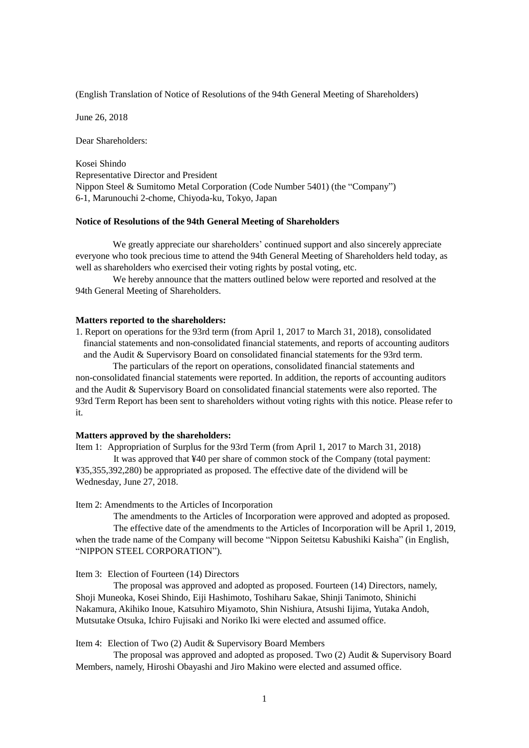(English Translation of Notice of Resolutions of the 94th General Meeting of Shareholders)

June 26, 2018

Dear Shareholders:

Kosei Shindo Representative Director and President Nippon Steel & Sumitomo Metal Corporation (Code Number 5401) (the "Company") 6-1, Marunouchi 2-chome, Chiyoda-ku, Tokyo, Japan

## **Notice of Resolutions of the 94th General Meeting of Shareholders**

We greatly appreciate our shareholders' continued support and also sincerely appreciate everyone who took precious time to attend the 94th General Meeting of Shareholders held today, as well as shareholders who exercised their voting rights by postal voting, etc.

We hereby announce that the matters outlined below were reported and resolved at the 94th General Meeting of Shareholders.

## **Matters reported to the shareholders:**

1. Report on operations for the 93rd term (from April 1, 2017 to March 31, 2018), consolidated financial statements and non-consolidated financial statements, and reports of accounting auditors and the Audit & Supervisory Board on consolidated financial statements for the 93rd term.

The particulars of the report on operations, consolidated financial statements and non-consolidated financial statements were reported. In addition, the reports of accounting auditors and the Audit & Supervisory Board on consolidated financial statements were also reported. The 93rd Term Report has been sent to shareholders without voting rights with this notice. Please refer to it.

## **Matters approved by the shareholders:**

Item 1: Appropriation of Surplus for the 93rd Term (from April 1, 2017 to March 31, 2018) It was approved that ¥40 per share of common stock of the Company (total payment: ¥35,355,392,280) be appropriated as proposed. The effective date of the dividend will be Wednesday, June 27, 2018.

Item 2: Amendments to the Articles of Incorporation

The amendments to the Articles of Incorporation were approved and adopted as proposed. The effective date of the amendments to the Articles of Incorporation will be April 1, 2019,

when the trade name of the Company will become "Nippon Seitetsu Kabushiki Kaisha" (in English, "NIPPON STEEL CORPORATION").

Item 3: Election of Fourteen (14) Directors

The proposal was approved and adopted as proposed. Fourteen (14) Directors, namely, Shoji Muneoka, Kosei Shindo, Eiji Hashimoto, Toshiharu Sakae, Shinji Tanimoto, Shinichi Nakamura, Akihiko Inoue, Katsuhiro Miyamoto, Shin Nishiura, Atsushi Iijima, Yutaka Andoh, Mutsutake Otsuka, Ichiro Fujisaki and Noriko Iki were elected and assumed office.

Item 4: Election of Two (2) Audit & Supervisory Board Members

The proposal was approved and adopted as proposed. Two (2) Audit & Supervisory Board Members, namely, Hiroshi Obayashi and Jiro Makino were elected and assumed office.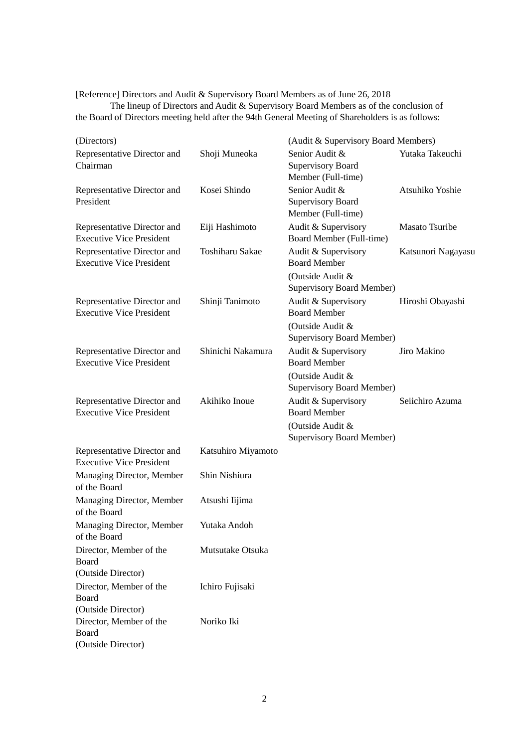[Reference] Directors and Audit & Supervisory Board Members as of June 26, 2018

The lineup of Directors and Audit & Supervisory Board Members as of the conclusion of the Board of Directors meeting held after the 94th General Meeting of Shareholders is as follows:

| (Directors)                                                    |                    | (Audit & Supervisory Board Members)                                                                |                    |
|----------------------------------------------------------------|--------------------|----------------------------------------------------------------------------------------------------|--------------------|
| Representative Director and<br>Chairman                        | Shoji Muneoka      | Senior Audit &<br><b>Supervisory Board</b><br>Member (Full-time)                                   | Yutaka Takeuchi    |
| Representative Director and<br>President                       | Kosei Shindo       | Senior Audit &<br><b>Supervisory Board</b><br>Member (Full-time)                                   | Atsuhiko Yoshie    |
| Representative Director and<br><b>Executive Vice President</b> | Eiji Hashimoto     | Audit & Supervisory<br>Board Member (Full-time)                                                    | Masato Tsuribe     |
| Representative Director and<br><b>Executive Vice President</b> | Toshiharu Sakae    | Audit & Supervisory<br><b>Board Member</b><br>(Outside Audit &<br>Supervisory Board Member)        | Katsunori Nagayasu |
| Representative Director and<br><b>Executive Vice President</b> | Shinji Tanimoto    | Audit & Supervisory<br><b>Board Member</b><br>(Outside Audit &<br>Supervisory Board Member)        | Hiroshi Obayashi   |
| Representative Director and<br><b>Executive Vice President</b> | Shinichi Nakamura  | Audit & Supervisory<br><b>Board Member</b><br>(Outside Audit &<br><b>Supervisory Board Member)</b> | Jiro Makino        |
| Representative Director and<br><b>Executive Vice President</b> | Akihiko Inoue      | Audit & Supervisory<br><b>Board Member</b><br>(Outside Audit &<br><b>Supervisory Board Member)</b> | Seiichiro Azuma    |
| Representative Director and<br><b>Executive Vice President</b> | Katsuhiro Miyamoto |                                                                                                    |                    |
| Managing Director, Member<br>of the Board                      | Shin Nishiura      |                                                                                                    |                    |
| Managing Director, Member<br>of the Board                      | Atsushi Iijima     |                                                                                                    |                    |
| Managing Director, Member<br>of the Board                      | Yutaka Andoh       |                                                                                                    |                    |
| Director, Member of the<br>Board<br>(Outside Director)         | Mutsutake Otsuka   |                                                                                                    |                    |
| Director, Member of the<br>Board<br>(Outside Director)         | Ichiro Fujisaki    |                                                                                                    |                    |
| Director, Member of the<br>Board<br>(Outside Director)         | Noriko Iki         |                                                                                                    |                    |